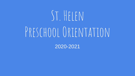# St. Helen PRESCHOOL ORIENTATION

2020-2021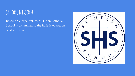#### SCHOOL MISSION

Based on Gospel values, St. Helen Catholic School is committed to the holistic education of all children.

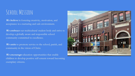#### SCHOOL MISSION

We believe in fostering creativity, motivation, and acceptance in a nurturing and safe environment.

We embrace our multicultural student body and strive to develop a globally aware and responsible school community committed to excellence.

We *unite* to promote service to the school, parish, and community in the vision of Christ.

We encourage education opportunities that enable children to develop positive self-esteem toward becoming exemplary citizens.

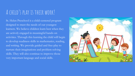#### A child's play is their work!

St. Helen Preschool is a child-centered program designed to meet the needs of our youngest learners. We believe children learn best when they are actively engaged in meaningful hands-on activities. Through this learning the child will begin to develop readiness skills in mathematics, reading, and writing. We provide guided and free-play to nurture their imaginations and problem solving skills. They will also continue to improve those very important language and social skills.

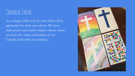#### Catholic Faith

As a unique child of God, each child will be applauded for their own talents. We have daily prayer and weekly religion classes where we share the values and beliefs of our Catholic faith with our students.

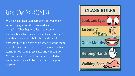#### Classroom Management

We help children gain self-control over their actions by guiding them toward acceptable behavior. They begin to learn to accept responsibility for their actions. We create rules together as a class to help the children take ownership of their environment. We want them to build their confidence and self-esteem while learning how to manage rules and expectations. We emphasize redirection but acknowledge sometimes there will be a loss of privilege or activity.

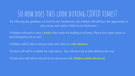# So how does this look during COVID times?

By following the guidelines set forth by the Archdiocese, the children will still have the opportunity to play, create, and explore while in our classrooms.

\*Children will need to wear a **mask** while inside the building at all times. Please have spare masks in their backpacks just in case!

\*Children will be able to interact with each other at a **safe distance**.

\*Centers will still be available for exploration- they will just look at little different this year.

\*Lunch time will still be enjoyed in the classroom with **children safely distanced.**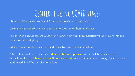### Centers during COVID times

- Blocks will be divided so that children have a fresh set to build with.
- -Dramatic play will still be open just with no soft toys or dress-up clothes.
- Children will access centers in assigned groups. Newly sanitized materials will be brought into the center for the next group.
- -Manipulatives will be divided into individual bags accessible to children.

-The children will have their own **individual bin of supplies** that they will be able to access throughout the day. **These items will not be shared**. As the children move through the classroom used materials will be set aside to sanitize.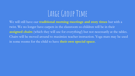# LARGE GROUP TIME

We will still have our **traditional morning meetings and story times** but with a twist. We no longer have carpets in the classroom so children will be in their **assigned chairs** (which they will use for everything!) but not necessarily at the tables. Chairs will be moved around to maximize teacher instruction. Yoga mats may be used in some rooms for the child to have **their own special space**.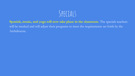

**Spanish, music, and yoga will now take place in the classroom.** The specials teachers will be masked and will adjust their programs to meet the requirements set forth by the Archdiocese.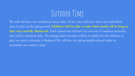# OUTDOOR TIME

We will still have our traditional recess time. Every class will have their own individual time to play on the playground. **Children will be able to take their masks off as long as they stay socially distanced.** Each classroom will have its own set of outdoor materials that will be sanitized daily. The playground structure will be available for the children to play on once a schedule is finalized. We will also be taking neighborhood walks to maximize our outdoor time.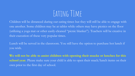# EATING TIME

Children will be distanced during our eating times but they will still be able to engage with one another. Some children may be at tables while others may have picnics on the floor (utilizing a yoga mat or other easily-cleaned "picnic blanket"). Teachers will be creative in their execution of these very popular times.

Lunch will be served in the classroom. You still have the option to purchase hot lunch if you wish.

**We will not be able to assist children with opening their snacks or lunches for this school year.** Please make sure your child is able to open their snack/lunch items on their own prior to the first day of school.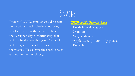# SNACKS

Prior to COVID, families would be sent home with a snack schedule and bring snacks to share with the entire class on their assigned day. Unfortunately, that will not be the case this year. Your child will bring a daily snack just for themselves. Please have the snack labeled and not in their lunch bag.

#### **2020-2021 Snack List**

\*Fresh fruit & veggies \*Crackers \*Veggie straws \*Applesauce (pouch only please) \*Pretzels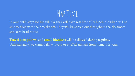# NAP TIMF

If your child stays for the full day they will have rest time after lunch. Children will be able to sleep with their masks off. They will be spread out throughout the classroom and kept head to toe.

**Travel size pillows** and **small blankets** will be allowed during naptime. Unfortunately, we cannot allow loveys or stuffed animals from home this year.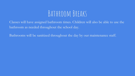### Bathroom Breaks

Classes will have assigned bathroom times. Children will also be able to use the bathroom as needed throughout the school day.

Bathrooms will be sanitized throughout the day by our maintenance staff.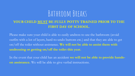#### BATHROOM BREAKS

#### **YOUR CHILD MUST BE FULLY POTTY TRAINED PRIOR TO THE FIRST DAY OF SCHOOL.**

Please make sure your child is able to easily undress to use the bathroom (avoid outfits with a lot of layers, hard-to-undo buttons etc.) and that they are able to get on/off the toilet without assistance. **We will not be able to assist them with undressing or getting on/off the toilet this year.**

In the event that your child has an accident **we will not be able to provide handson assistance.** We will be able to give verbal instructions.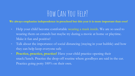## How Can You Help?

**We always emphasize independence in preschool but this year it is more important than ever!**

- Help your child become comfortable wearing a mask inside. We are so used to wearing them on errands but maybe try during a movie at home or playtime. Make it fun and positive!
- Talk about the importance of social distancing (staying in your bubble) and how they can help keep everyone safe
- **Practice, practice, practice!** Have your child practice opening their snack/lunch. Practice the drop-off routine where goodbyes are said in the car. Practice going potty 100% on their own.